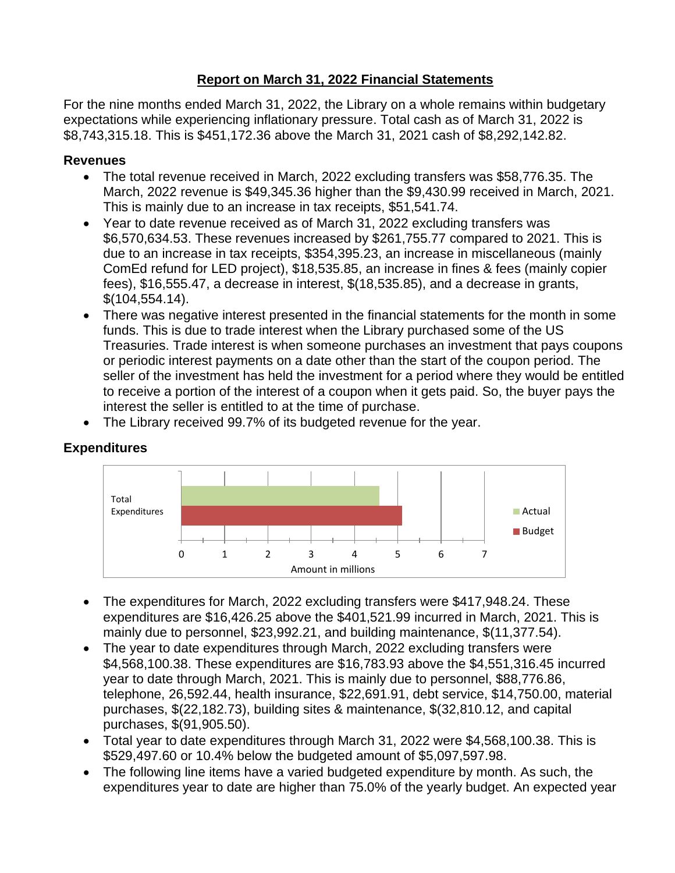## **Report on March 31, 2022 Financial Statements**

For the nine months ended March 31, 2022, the Library on a whole remains within budgetary expectations while experiencing inflationary pressure. Total cash as of March 31, 2022 is \$8,743,315.18. This is \$451,172.36 above the March 31, 2021 cash of \$8,292,142.82.

## **Revenues**

- The total revenue received in March, 2022 excluding transfers was \$58,776.35. The March, 2022 revenue is \$49,345.36 higher than the \$9,430.99 received in March, 2021. This is mainly due to an increase in tax receipts, \$51,541.74.
- Year to date revenue received as of March 31, 2022 excluding transfers was \$6,570,634.53. These revenues increased by \$261,755.77 compared to 2021. This is due to an increase in tax receipts, \$354,395.23, an increase in miscellaneous (mainly ComEd refund for LED project), \$18,535.85, an increase in fines & fees (mainly copier fees), \$16,555.47, a decrease in interest, \$(18,535.85), and a decrease in grants, \$(104,554.14).
- There was negative interest presented in the financial statements for the month in some funds. This is due to trade interest when the Library purchased some of the US Treasuries. Trade interest is when someone purchases an investment that pays coupons or periodic interest payments on a date other than the start of the coupon period. The seller of the investment has held the investment for a period where they would be entitled to receive a portion of the interest of a coupon when it gets paid. So, the buyer pays the interest the seller is entitled to at the time of purchase.
- The Library received 99.7% of its budgeted revenue for the year.



## **Expenditures**

- The expenditures for March, 2022 excluding transfers were \$417,948.24. These expenditures are \$16,426.25 above the \$401,521.99 incurred in March, 2021. This is mainly due to personnel, \$23,992.21, and building maintenance, \$(11,377.54).
- The year to date expenditures through March, 2022 excluding transfers were \$4,568,100.38. These expenditures are \$16,783.93 above the \$4,551,316.45 incurred year to date through March, 2021. This is mainly due to personnel, \$88,776.86, telephone, 26,592.44, health insurance, \$22,691.91, debt service, \$14,750.00, material purchases, \$(22,182.73), building sites & maintenance, \$(32,810.12, and capital purchases, \$(91,905.50).
- Total year to date expenditures through March 31, 2022 were \$4,568,100.38. This is \$529,497.60 or 10.4% below the budgeted amount of \$5,097,597.98.
- The following line items have a varied budgeted expenditure by month. As such, the expenditures year to date are higher than 75.0% of the yearly budget. An expected year